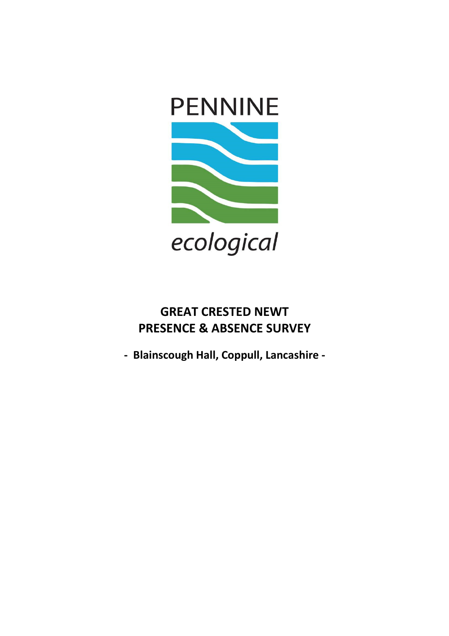

# **GREAT CRESTED NEWT PRESENCE & ABSENCE SURVEY**

**- Blainscough Hall, Coppull, Lancashire -**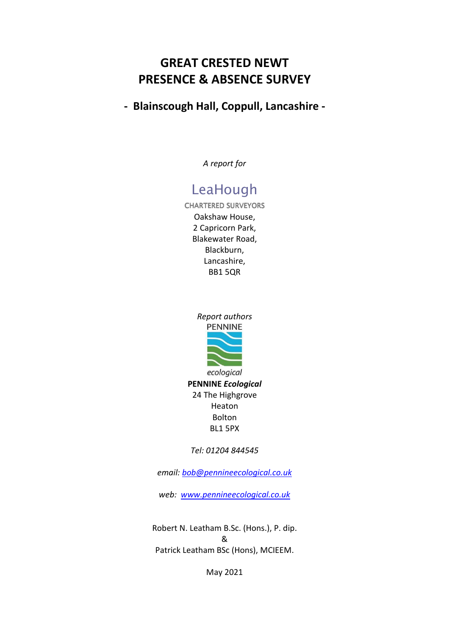## **GREAT CRESTED NEWT PRESENCE & ABSENCE SURVEY**

## **- Blainscough Hall, Coppull, Lancashire -**

*A report for* 

# LeaHough

**CHARTERED SURVEYORS** Oakshaw House, 2 Capricorn Park, Blakewater Road, Blackburn, Lancashire, BB1 5QR



*Tel: 01204 844545* 

*email: bob@pennineecological.co.uk*

*web: www.pennineecological.co.uk*

Robert N. Leatham B.Sc. (Hons.), P. dip. & Patrick Leatham BSc (Hons), MCIEEM.

May 2021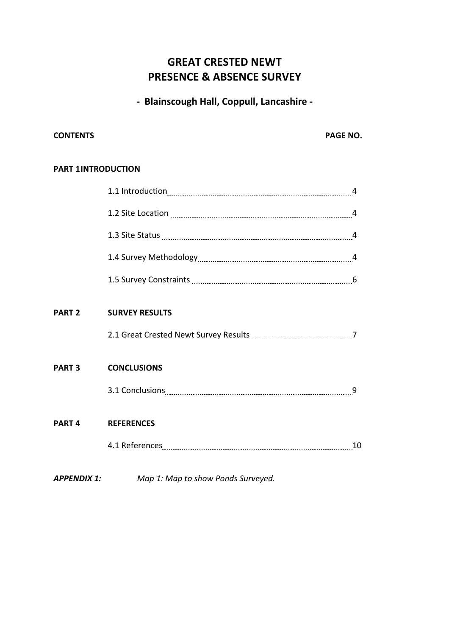## **GREAT CRESTED NEWT PRESENCE & ABSENCE SURVEY**

**- Blainscough Hall, Coppull, Lancashire -** 

#### **CONTENTS** PAGE NO.

#### **PART 1 INTRODUCTION**

| <b>PART 2</b> | <b>SURVEY RESULTS</b> |   |
|---------------|-----------------------|---|
|               |                       |   |
| <b>PART 3</b> | <b>CONCLUSIONS</b>    |   |
|               |                       | 9 |
| <b>PART 4</b> | <b>REFERENCES</b>     |   |
|               |                       |   |
|               |                       |   |

*APPENDIX 1: Map 1: Map to show Ponds Surveyed.*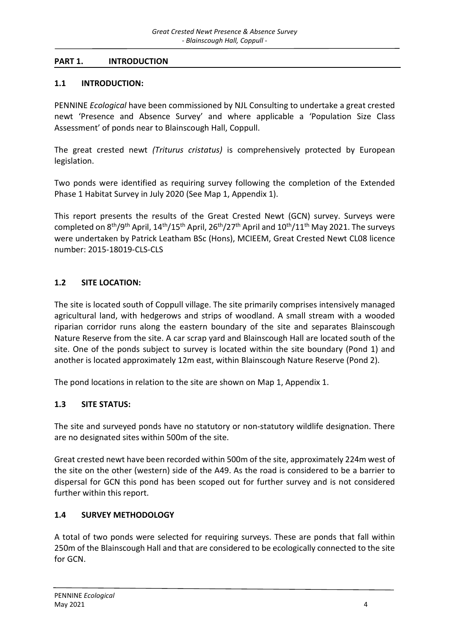#### **PART 1. INTRODUCTION**

#### **1.1 INTRODUCTION:**

PENNINE *Ecological* have been commissioned by NJL Consulting to undertake a great crested newt 'Presence and Absence Survey' and where applicable a 'Population Size Class Assessment' of ponds near to Blainscough Hall, Coppull.

The great crested newt *(Triturus cristatus)* is comprehensively protected by European legislation.

Two ponds were identified as requiring survey following the completion of the Extended Phase 1 Habitat Survey in July 2020 (See Map 1, Appendix 1).

This report presents the results of the Great Crested Newt (GCN) survey. Surveys were completed on  $8<sup>th</sup>/9<sup>th</sup>$  April,  $14<sup>th</sup>/15<sup>th</sup>$  April,  $26<sup>th</sup>/27<sup>th</sup>$  April and  $10<sup>th</sup>/11<sup>th</sup>$  May 2021. The surveys were undertaken by Patrick Leatham BSc (Hons), MCIEEM, Great Crested Newt CL08 licence number: 2015-18019-CLS-CLS

### **1.2 SITE LOCATION:**

The site is located south of Coppull village. The site primarily comprises intensively managed agricultural land, with hedgerows and strips of woodland. A small stream with a wooded riparian corridor runs along the eastern boundary of the site and separates Blainscough Nature Reserve from the site. A car scrap yard and Blainscough Hall are located south of the site. One of the ponds subject to survey is located within the site boundary (Pond 1) and another is located approximately 12m east, within Blainscough Nature Reserve (Pond 2).

The pond locations in relation to the site are shown on Map 1, Appendix 1.

### **1.3 SITE STATUS:**

The site and surveyed ponds have no statutory or non-statutory wildlife designation. There are no designated sites within 500m of the site.

Great crested newt have been recorded within 500m of the site, approximately 224m west of the site on the other (western) side of the A49. As the road is considered to be a barrier to dispersal for GCN this pond has been scoped out for further survey and is not considered further within this report.

### **1.4 SURVEY METHODOLOGY**

A total of two ponds were selected for requiring surveys. These are ponds that fall within 250m of the Blainscough Hall and that are considered to be ecologically connected to the site for GCN.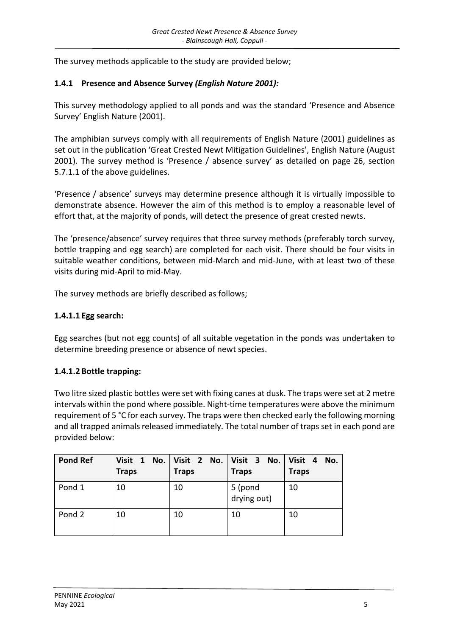The survey methods applicable to the study are provided below;

#### **1.4.1 Presence and Absence Survey** *(English Nature 2001):*

This survey methodology applied to all ponds and was the standard 'Presence and Absence Survey' English Nature (2001).

The amphibian surveys comply with all requirements of English Nature (2001) guidelines as set out in the publication 'Great Crested Newt Mitigation Guidelines', English Nature (August 2001). The survey method is 'Presence / absence survey' as detailed on page 26, section 5.7.1.1 of the above guidelines.

'Presence / absence' surveys may determine presence although it is virtually impossible to demonstrate absence. However the aim of this method is to employ a reasonable level of effort that, at the majority of ponds, will detect the presence of great crested newts.

The 'presence/absence' survey requires that three survey methods (preferably torch survey, bottle trapping and egg search) are completed for each visit. There should be four visits in suitable weather conditions, between mid-March and mid-June, with at least two of these visits during mid-April to mid-May.

The survey methods are briefly described as follows;

#### **1.4.1.1 Egg search:**

Egg searches (but not egg counts) of all suitable vegetation in the ponds was undertaken to determine breeding presence or absence of newt species.

#### **1.4.1.2 Bottle trapping:**

Two litre sized plastic bottles were set with fixing canes at dusk. The traps were set at 2 metre intervals within the pond where possible. Night-time temperatures were above the minimum requirement of 5 °C for each survey. The traps were then checked early the following morning and all trapped animals released immediately. The total number of traps set in each pond are provided below:

| <b>Pond Ref</b> | Visit 1 No.<br><b>Traps</b> | <b>Traps</b> | Visit 2 No. Visit 3 No.<br><b>Traps</b> | Visit 4<br>No.<br><b>Traps</b> |
|-----------------|-----------------------------|--------------|-----------------------------------------|--------------------------------|
| Pond 1          | 10                          | 10           | 5 (pond<br>drying out)                  | 10                             |
| Pond 2          | 10                          | 10           | 10                                      | 10                             |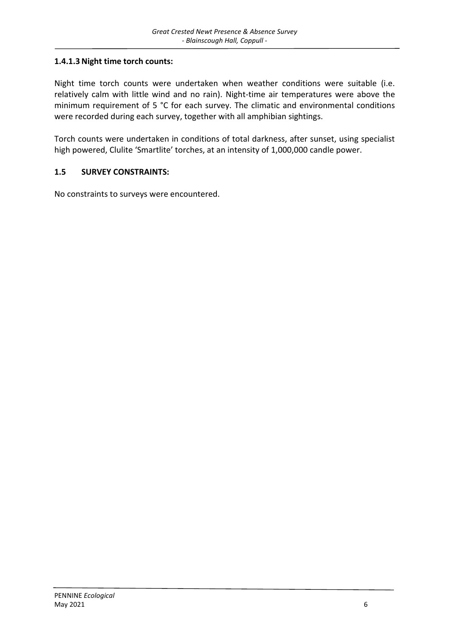#### **1.4.1.3 Night time torch counts:**

Night time torch counts were undertaken when weather conditions were suitable (i.e. relatively calm with little wind and no rain). Night-time air temperatures were above the minimum requirement of 5 °C for each survey. The climatic and environmental conditions were recorded during each survey, together with all amphibian sightings.

Torch counts were undertaken in conditions of total darkness, after sunset, using specialist high powered, Clulite 'Smartlite' torches, at an intensity of 1,000,000 candle power.

#### **1.5 SURVEY CONSTRAINTS:**

No constraints to surveys were encountered.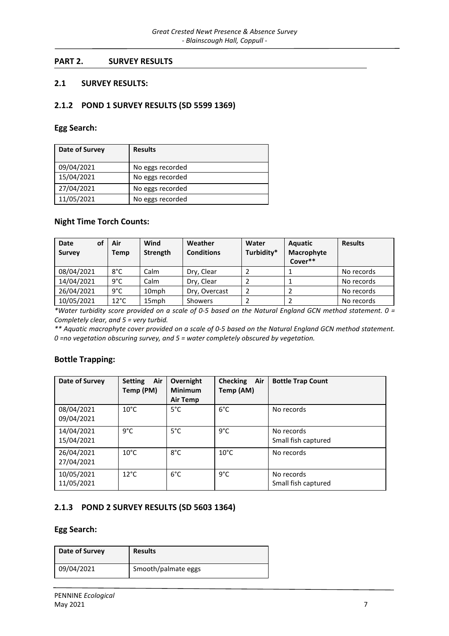#### **PART 2. SURVEY RESULTS**

#### **2.1 SURVEY RESULTS:**

#### **2.1.2 POND 1 SURVEY RESULTS (SD 5599 1369)**

#### **Egg Search:**

| Date of Survey | <b>Results</b>   |
|----------------|------------------|
| 09/04/2021     | No eggs recorded |
| 15/04/2021     | No eggs recorded |
| 27/04/2021     | No eggs recorded |
| 11/05/2021     | No eggs recorded |

#### **Night Time Torch Counts:**

| of<br>Date<br><b>Survey</b> | Air<br>Temp    | Wind<br>Strength  | Weather<br><b>Conditions</b> | Water<br>Turbidity* | <b>Aquatic</b><br>Macrophyte<br>Cover** | <b>Results</b> |
|-----------------------------|----------------|-------------------|------------------------------|---------------------|-----------------------------------------|----------------|
| 08/04/2021                  | 8°C            | Calm              | Dry, Clear                   |                     |                                         | No records     |
| 14/04/2021                  | $9^{\circ}$ C  | Calm              | Dry, Clear                   |                     |                                         | No records     |
| 26/04/2021                  | $9^{\circ}$ C  | 10 <sub>mph</sub> | Dry, Overcast                | $\overline{2}$      |                                         | No records     |
| 10/05/2021                  | $12^{\circ}$ C | 15mph             | Showers                      |                     |                                         | No records     |

*\*Water turbidity score provided on a scale of 0-5 based on the Natural England GCN method statement. 0 = Completely clear, and 5 = very turbid.* 

*\*\* Aquatic macrophyte cover provided on a scale of 0-5 based on the Natural England GCN method statement. 0 =no vegetation obscuring survey, and 5 = water completely obscured by vegetation.* 

#### **Bottle Trapping:**

| Date of Survey           | Air<br><b>Setting</b><br>Temp (PM) | Overnight<br><b>Minimum</b><br>Air Temp | <b>Checking</b><br>Air<br>Temp (AM) | <b>Bottle Trap Count</b>          |
|--------------------------|------------------------------------|-----------------------------------------|-------------------------------------|-----------------------------------|
| 08/04/2021<br>09/04/2021 | $10^{\circ}$ C                     | $5^{\circ}$ C                           | $6^{\circ}$ C                       | No records                        |
| 14/04/2021<br>15/04/2021 | $9^{\circ}$ C                      | $5^{\circ}$ C                           | $9^{\circ}$ C                       | No records<br>Small fish captured |
| 26/04/2021<br>27/04/2021 | $10^{\circ}$ C                     | $8^{\circ}$ C                           | $10^{\circ}$ C                      | No records                        |
| 10/05/2021<br>11/05/2021 | $12^{\circ}$ C                     | $6^{\circ}$ C                           | $9^{\circ}$ C                       | No records<br>Small fish captured |

#### **2.1.3 POND 2 SURVEY RESULTS (SD 5603 1364)**

#### **Egg Search:**

| Date of Survey | <b>Results</b>      |  |  |
|----------------|---------------------|--|--|
| 09/04/2021     | Smooth/palmate eggs |  |  |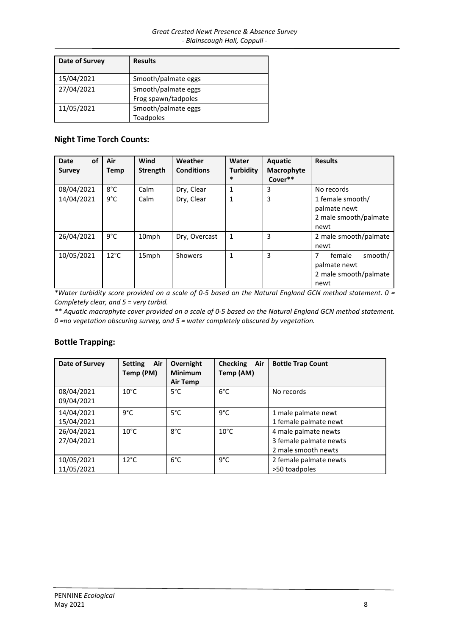| Date of Survey | <b>Results</b>      |
|----------------|---------------------|
| 15/04/2021     | Smooth/palmate eggs |
| 27/04/2021     | Smooth/palmate eggs |
|                | Frog spawn/tadpoles |
| 11/05/2021     | Smooth/palmate eggs |
|                | <b>Toadpoles</b>    |

#### **Night Time Torch Counts:**

| of<br><b>Date</b><br><b>Survey</b> | Air<br>Temp    | Wind<br><b>Strength</b> | Weather<br><b>Conditions</b> | Water<br><b>Turbidity</b><br>$\ast$ | Aquatic<br>Macrophyte<br>Cover** | <b>Results</b>                                                          |
|------------------------------------|----------------|-------------------------|------------------------------|-------------------------------------|----------------------------------|-------------------------------------------------------------------------|
| 08/04/2021                         | $8^{\circ}$ C  | Calm                    | Dry, Clear                   | 1                                   | 3                                | No records                                                              |
| 14/04/2021                         | 9°C            | Calm                    | Dry, Clear                   | 1                                   | 3                                | 1 female smooth/<br>palmate newt<br>2 male smooth/palmate<br>newt       |
| 26/04/2021                         | 9°C            | 10 <sub>mph</sub>       | Dry, Overcast                | 1                                   | 3                                | 2 male smooth/palmate<br>newt                                           |
| 10/05/2021                         | $12^{\circ}$ C | 15mph                   | Showers                      | 1                                   | 3                                | 7<br>female<br>smooth/<br>palmate newt<br>2 male smooth/palmate<br>newt |

*\*Water turbidity score provided on a scale of 0-5 based on the Natural England GCN method statement. 0 = Completely clear, and 5 = very turbid.* 

*\*\* Aquatic macrophyte cover provided on a scale of 0-5 based on the Natural England GCN method statement. 0 =no vegetation obscuring survey, and 5 = water completely obscured by vegetation.* 

#### **Bottle Trapping:**

| Date of Survey           | Air<br><b>Setting</b><br>Temp (PM) | Overnight<br><b>Minimum</b><br>Air Temp | <b>Checking</b><br>Air<br>Temp (AM) | <b>Bottle Trap Count</b>                                              |
|--------------------------|------------------------------------|-----------------------------------------|-------------------------------------|-----------------------------------------------------------------------|
| 08/04/2021<br>09/04/2021 | $10^{\circ}$ C                     | $5^{\circ}$ C                           | $6^{\circ}$ C                       | No records                                                            |
| 14/04/2021<br>15/04/2021 | $9^{\circ}$ C                      | $5^{\circ}$ C                           | $9^{\circ}$ C                       | 1 male palmate newt<br>1 female palmate newt                          |
| 26/04/2021<br>27/04/2021 | $10^{\circ}$ C                     | $8^{\circ}$ C                           | $10^{\circ}$ C                      | 4 male palmate newts<br>3 female palmate newts<br>2 male smooth newts |
| 10/05/2021<br>11/05/2021 | $12^{\circ}$ C                     | $6^{\circ}$ C                           | $9^{\circ}$ C                       | 2 female palmate newts<br>>50 toadpoles                               |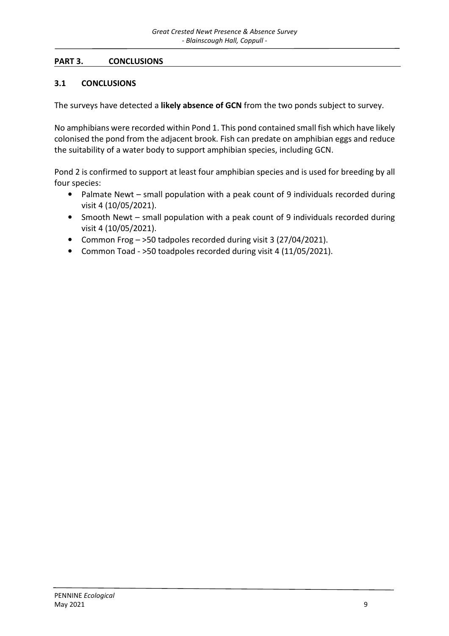#### **PART 3. CONCLUSIONS**

#### **3.1 CONCLUSIONS**

The surveys have detected a **likely absence of GCN** from the two ponds subject to survey.

No amphibians were recorded within Pond 1. This pond contained small fish which have likely colonised the pond from the adjacent brook. Fish can predate on amphibian eggs and reduce the suitability of a water body to support amphibian species, including GCN.

Pond 2 is confirmed to support at least four amphibian species and is used for breeding by all four species:

- Palmate Newt small population with a peak count of 9 individuals recorded during visit 4 (10/05/2021).
- Smooth Newt small population with a peak count of 9 individuals recorded during visit 4 (10/05/2021).
- Common Frog >50 tadpoles recorded during visit 3 (27/04/2021).
- Common Toad >50 toadpoles recorded during visit 4 (11/05/2021).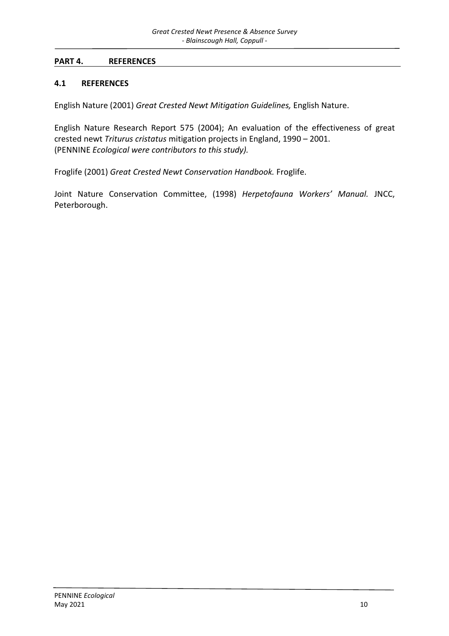#### **PART 4. REFERENCES**

#### **4.1 REFERENCES**

English Nature (2001) *Great Crested Newt Mitigation Guidelines,* English Nature.

English Nature Research Report 575 (2004); An evaluation of the effectiveness of great crested newt *Triturus cristatus* mitigation projects in England, 1990 – 2001. (PENNINE *Ecological were contributors to this study).* 

Froglife (2001) *Great Crested Newt Conservation Handbook.* Froglife.

Joint Nature Conservation Committee, (1998) *Herpetofauna Workers' Manual.* JNCC, Peterborough.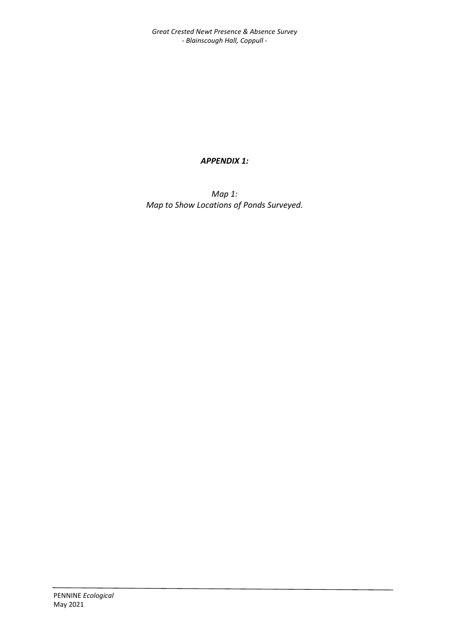*Great Crested Newt Presence & Absence Survey - Blainscough Hall, Coppull -* 

#### *APPENDIX 1:*

*Map 1: Map to Show Locations of Ponds Surveyed.*